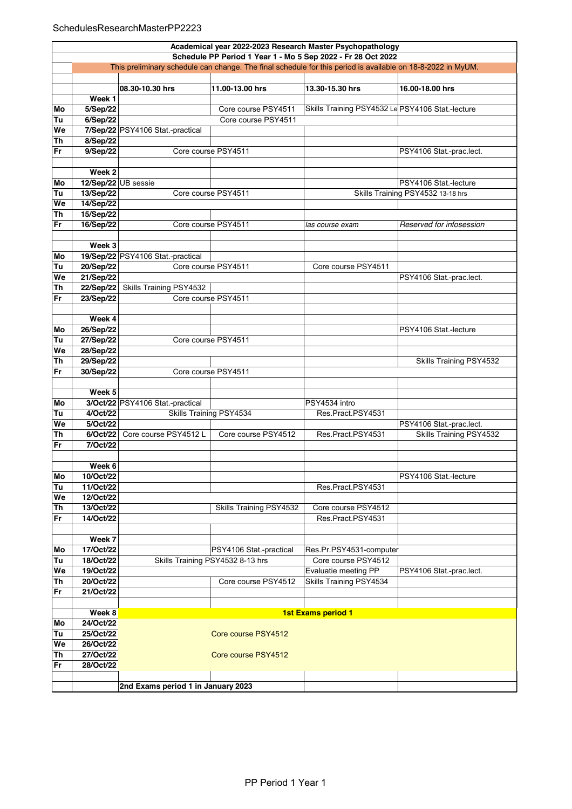## SchedulesResearchMasterPP2223

|    | Academical year 2022-2023 Research Master Psychopathology                                                   |                                    |                                  |                                                  |                                   |  |  |
|----|-------------------------------------------------------------------------------------------------------------|------------------------------------|----------------------------------|--------------------------------------------------|-----------------------------------|--|--|
|    | Schedule PP Period 1 Year 1 - Mo 5 Sep 2022 - Fr 28 Oct 2022                                                |                                    |                                  |                                                  |                                   |  |  |
|    | This preliminary schedule can change. The final schedule for this period is available on 18-8-2022 in MyUM. |                                    |                                  |                                                  |                                   |  |  |
|    |                                                                                                             |                                    |                                  |                                                  |                                   |  |  |
|    |                                                                                                             | 08.30-10.30 hrs                    | 11.00-13.00 hrs                  | 13.30-15.30 hrs                                  | 16.00-18.00 hrs                   |  |  |
|    | Week <sub>1</sub>                                                                                           |                                    |                                  |                                                  |                                   |  |  |
| Mо | 5/Sep/22                                                                                                    |                                    | Core course PSY4511              | Skills Training PSY4532 Le PSY4106 Stat -lecture |                                   |  |  |
| Tu | 6/Sep/22                                                                                                    |                                    | Core course PSY4511              |                                                  |                                   |  |  |
| We |                                                                                                             | 7/Sep/22 PSY4106 Stat -practical   |                                  |                                                  |                                   |  |  |
| Th | 8/Sep/22                                                                                                    |                                    |                                  |                                                  |                                   |  |  |
| Fr | 9/Sep/22                                                                                                    |                                    | Core course PSY4511              |                                                  | PSY4106 Stat.-prac.lect.          |  |  |
|    |                                                                                                             |                                    |                                  |                                                  |                                   |  |  |
|    | Week <sub>2</sub>                                                                                           |                                    |                                  |                                                  |                                   |  |  |
| Mo | 12/Sep/22 UB sessie                                                                                         |                                    |                                  |                                                  | PSY4106 Stat.-lecture             |  |  |
| Tu | 13/Sep/22                                                                                                   |                                    | Core course PSY4511              |                                                  | Skills Training PSY4532 13-18 hrs |  |  |
| We | 14/Sep/22                                                                                                   |                                    |                                  |                                                  |                                   |  |  |
| Th | 15/Sep/22                                                                                                   |                                    |                                  |                                                  |                                   |  |  |
| Fr | 16/Sep/22                                                                                                   |                                    | Core course PSY4511              | las course exam                                  | Reserved for infosession          |  |  |
|    |                                                                                                             |                                    |                                  |                                                  |                                   |  |  |
|    | Week 3                                                                                                      |                                    |                                  |                                                  |                                   |  |  |
| Mo |                                                                                                             | 19/Sep/22 PSY4106 Stat.-practical  |                                  |                                                  |                                   |  |  |
| Tu | 20/Sep/22                                                                                                   |                                    | Core course PSY4511              | Core course PSY4511                              |                                   |  |  |
| We | 21/Sep/22                                                                                                   |                                    |                                  |                                                  | PSY4106 Stat.-prac.lect.          |  |  |
| Th | 22/Sep/22                                                                                                   | Skills Training PSY4532            |                                  |                                                  |                                   |  |  |
| Fr | 23/Sep/22                                                                                                   |                                    | Core course PSY4511              |                                                  |                                   |  |  |
|    |                                                                                                             |                                    |                                  |                                                  |                                   |  |  |
|    | Week 4                                                                                                      |                                    |                                  |                                                  |                                   |  |  |
| Mo | 26/Sep/22                                                                                                   |                                    |                                  |                                                  | PSY4106 Stat.-lecture             |  |  |
| Tu | 27/Sep/22                                                                                                   |                                    | Core course PSY4511              |                                                  |                                   |  |  |
| We | 28/Sep/22                                                                                                   |                                    |                                  |                                                  |                                   |  |  |
| Th | 29/Sep/22                                                                                                   |                                    |                                  |                                                  | Skills Training PSY4532           |  |  |
| Fr | 30/Sep/22                                                                                                   |                                    | Core course PSY4511              |                                                  |                                   |  |  |
|    |                                                                                                             |                                    |                                  |                                                  |                                   |  |  |
|    | Week 5                                                                                                      |                                    |                                  |                                                  |                                   |  |  |
| Mo |                                                                                                             | 3/Oct/22 PSY4106 Stat.-practical   |                                  | PSY4534 intro                                    |                                   |  |  |
| Tu | 4/Oct/22                                                                                                    |                                    | Skills Training PSY4534          | Res.Pract.PSY4531                                |                                   |  |  |
| We | 5/Oct/22                                                                                                    |                                    |                                  |                                                  | PSY4106 Stat.-prac.lect.          |  |  |
| Th | 6/Oct/22                                                                                                    | Core course PSY4512 L              | Core course PSY4512              | Res.Pract.PSY4531                                | Skills Training PSY4532           |  |  |
| Fr | 7/Oct/22                                                                                                    |                                    |                                  |                                                  |                                   |  |  |
|    |                                                                                                             |                                    |                                  |                                                  |                                   |  |  |
|    | Week 6                                                                                                      |                                    |                                  |                                                  |                                   |  |  |
| Mo | 10/Oct/22                                                                                                   |                                    |                                  |                                                  | PSY4106 Stat.-lecture             |  |  |
| Tu | 11/Oct/22                                                                                                   |                                    |                                  | Res.Pract.PSY4531                                |                                   |  |  |
| We | 12/Oct/22                                                                                                   |                                    |                                  |                                                  |                                   |  |  |
| Th | 13/Oct/22                                                                                                   |                                    | Skills Training PSY4532          | Core course PSY4512                              |                                   |  |  |
| Fr | 14/Oct/22                                                                                                   |                                    |                                  | Res.Pract.PSY4531                                |                                   |  |  |
|    | Week 7                                                                                                      |                                    |                                  |                                                  |                                   |  |  |
| Mo | 17/Oct/22                                                                                                   |                                    | PSY4106 Stat.-practical          | Res.Pr.PSY4531-computer                          |                                   |  |  |
| Tu | 18/Oct/22                                                                                                   |                                    | Skills Training PSY4532 8-13 hrs | Core course PSY4512                              |                                   |  |  |
| We | 19/Oct/22                                                                                                   |                                    |                                  | Evaluatie meeting PP                             |                                   |  |  |
|    |                                                                                                             |                                    |                                  | Skills Training PSY4534                          | PSY4106 Stat.-prac.lect.          |  |  |
| Th | 20/Oct/22<br>21/Oct/22                                                                                      |                                    | Core course PSY4512              |                                                  |                                   |  |  |
| Fr |                                                                                                             |                                    |                                  |                                                  |                                   |  |  |
|    | Week 8                                                                                                      |                                    |                                  | 1st Exams period 1                               |                                   |  |  |
| Mo | 24/Oct/22                                                                                                   |                                    |                                  |                                                  |                                   |  |  |
| Tu | 25/Oct/22                                                                                                   |                                    | Core course PSY4512              |                                                  |                                   |  |  |
| We | 26/Oct/22                                                                                                   |                                    |                                  |                                                  |                                   |  |  |
|    | 27/Oct/22                                                                                                   |                                    |                                  |                                                  |                                   |  |  |
| Th |                                                                                                             |                                    | Core course PSY4512              |                                                  |                                   |  |  |
| Fr | 28/Oct/22                                                                                                   |                                    |                                  |                                                  |                                   |  |  |
|    |                                                                                                             | 2nd Exams period 1 in January 2023 |                                  |                                                  |                                   |  |  |
|    |                                                                                                             |                                    |                                  |                                                  |                                   |  |  |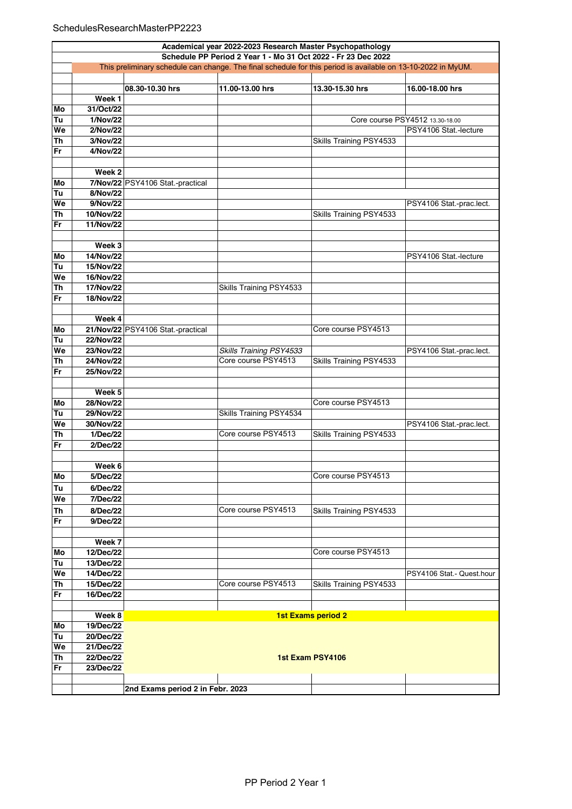|          | Academical year 2022-2023 Research Master Psychopathology<br>Schedule PP Period 2 Year 1 - Mo 31 Oct 2022 - Fr 23 Dec 2022 |                                   |                         |                           |                                 |  |  |
|----------|----------------------------------------------------------------------------------------------------------------------------|-----------------------------------|-------------------------|---------------------------|---------------------------------|--|--|
|          | This preliminary schedule can change. The final schedule for this period is available on 13-10-2022 in MyUM.               |                                   |                         |                           |                                 |  |  |
|          |                                                                                                                            |                                   |                         |                           |                                 |  |  |
|          |                                                                                                                            | 08.30-10.30 hrs                   | 11.00-13.00 hrs         | 13.30-15.30 hrs           | 16.00-18.00 hrs                 |  |  |
|          | Week 1                                                                                                                     |                                   |                         |                           |                                 |  |  |
| Mo       | 31/Oct/22                                                                                                                  |                                   |                         |                           |                                 |  |  |
| Tu       | 1/Nov/22                                                                                                                   |                                   |                         |                           | Core course PSY4512 13.30-18.00 |  |  |
| We       | 2/Nov/22                                                                                                                   |                                   |                         |                           | PSY4106 Stat -lecture           |  |  |
| Th       | 3/Nov/22                                                                                                                   |                                   |                         | Skills Training PSY4533   |                                 |  |  |
| Fr       | 4/Nov/22                                                                                                                   |                                   |                         |                           |                                 |  |  |
|          |                                                                                                                            |                                   |                         |                           |                                 |  |  |
|          | Week <sub>2</sub>                                                                                                          |                                   |                         |                           |                                 |  |  |
| Mo       |                                                                                                                            | 7/Nov/22 PSY4106 Stat.-practical  |                         |                           |                                 |  |  |
| Tu       | 8/Nov/22                                                                                                                   |                                   |                         |                           |                                 |  |  |
| We       | 9/Nov/22                                                                                                                   |                                   |                         |                           | PSY4106 Stat.-prac.lect.        |  |  |
| Th       | 10/Nov/22                                                                                                                  |                                   |                         | Skills Training PSY4533   |                                 |  |  |
| Fr       | 11/Nov/22                                                                                                                  |                                   |                         |                           |                                 |  |  |
|          |                                                                                                                            |                                   |                         |                           |                                 |  |  |
|          | Week 3                                                                                                                     |                                   |                         |                           |                                 |  |  |
| Mo       | 14/Nov/22                                                                                                                  |                                   |                         |                           | PSY4106 Stat.-lecture           |  |  |
| Tu       | 15/Nov/22                                                                                                                  |                                   |                         |                           |                                 |  |  |
| We       | 16/Nov/22                                                                                                                  |                                   |                         |                           |                                 |  |  |
| Th       | 17/Nov/22                                                                                                                  |                                   | Skills Training PSY4533 |                           |                                 |  |  |
| Fr       | 18/Nov/22                                                                                                                  |                                   |                         |                           |                                 |  |  |
|          |                                                                                                                            |                                   |                         |                           |                                 |  |  |
|          | Week 4                                                                                                                     |                                   |                         |                           |                                 |  |  |
| Mo       |                                                                                                                            | 21/Nov/22 PSY4106 Stat.-practical |                         | Core course PSY4513       |                                 |  |  |
| Tu       | 22/Nov/22                                                                                                                  |                                   |                         |                           |                                 |  |  |
| We       | 23/Nov/22                                                                                                                  |                                   | Skills Training PSY4533 |                           | PSY4106 Stat.-prac.lect.        |  |  |
| Th       | 24/Nov/22                                                                                                                  |                                   | Core course PSY4513     | Skills Training PSY4533   |                                 |  |  |
| Fr       | 25/Nov/22                                                                                                                  |                                   |                         |                           |                                 |  |  |
|          |                                                                                                                            |                                   |                         |                           |                                 |  |  |
|          | Week <sub>5</sub>                                                                                                          |                                   |                         |                           |                                 |  |  |
| Mo       | 28/Nov/22<br>29/Nov/22                                                                                                     |                                   |                         | Core course PSY4513       |                                 |  |  |
| Tu       | 30/Nov/22                                                                                                                  |                                   | Skills Training PSY4534 |                           |                                 |  |  |
| We<br>Th | 1/Dec/22                                                                                                                   |                                   | Core course PSY4513     | Skills Training PSY4533   | PSY4106 Stat.-prac.lect.        |  |  |
| Fr       | 2/Dec/22                                                                                                                   |                                   |                         |                           |                                 |  |  |
|          |                                                                                                                            |                                   |                         |                           |                                 |  |  |
|          | Week 6                                                                                                                     |                                   |                         |                           |                                 |  |  |
| Mo       | 5/Dec/22                                                                                                                   |                                   |                         | Core course PSY4513       |                                 |  |  |
| Tu       | 6/Dec/22                                                                                                                   |                                   |                         |                           |                                 |  |  |
| We       | 7/Dec/22                                                                                                                   |                                   |                         |                           |                                 |  |  |
| Th       | 8/Dec/22                                                                                                                   |                                   | Core course PSY4513     | Skills Training PSY4533   |                                 |  |  |
| Fr       | 9/Dec/22                                                                                                                   |                                   |                         |                           |                                 |  |  |
|          |                                                                                                                            |                                   |                         |                           |                                 |  |  |
|          | Week 7                                                                                                                     |                                   |                         |                           |                                 |  |  |
| Mo       | 12/Dec/22                                                                                                                  |                                   |                         | Core course PSY4513       |                                 |  |  |
| Tu       | 13/Dec/22                                                                                                                  |                                   |                         |                           |                                 |  |  |
| We       | 14/Dec/22                                                                                                                  |                                   |                         |                           | PSY4106 Stat.- Quest.hour       |  |  |
| Th       | 15/Dec/22                                                                                                                  |                                   | Core course PSY4513     | Skills Training PSY4533   |                                 |  |  |
| Fr       | 16/Dec/22                                                                                                                  |                                   |                         |                           |                                 |  |  |
|          |                                                                                                                            |                                   |                         |                           |                                 |  |  |
|          | Week 8                                                                                                                     |                                   |                         | <b>1st Exams period 2</b> |                                 |  |  |
| Mo       | 19/Dec/22                                                                                                                  |                                   |                         |                           |                                 |  |  |
| Tu       | 20/Dec/22                                                                                                                  |                                   |                         |                           |                                 |  |  |
| We       | 21/Dec/22                                                                                                                  |                                   |                         |                           |                                 |  |  |
| Th       | 22/Dec/22                                                                                                                  | 1st Exam PSY4106                  |                         |                           |                                 |  |  |
| Fr       | 23/Dec/22                                                                                                                  |                                   |                         |                           |                                 |  |  |
|          |                                                                                                                            |                                   |                         |                           |                                 |  |  |
|          |                                                                                                                            | 2nd Exams period 2 in Febr. 2023  |                         |                           |                                 |  |  |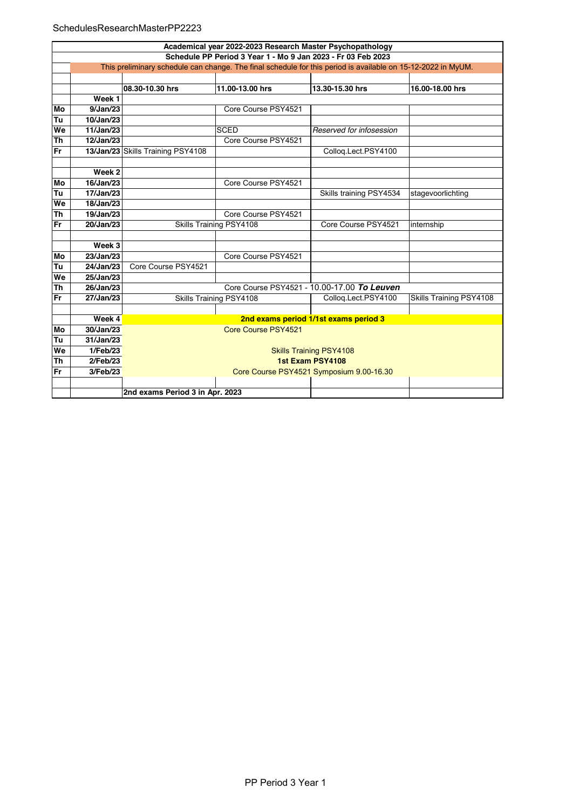## SchedulesResearchMasterPP2223

|           | Academical year 2022-2023 Research Master Psychopathology                                                    |                                          |                         |                                             |                         |  |  |  |
|-----------|--------------------------------------------------------------------------------------------------------------|------------------------------------------|-------------------------|---------------------------------------------|-------------------------|--|--|--|
|           | Schedule PP Period 3 Year 1 - Mo 9 Jan 2023 - Fr 03 Feb 2023                                                 |                                          |                         |                                             |                         |  |  |  |
|           | This preliminary schedule can change. The final schedule for this period is available on 15-12-2022 in MyUM. |                                          |                         |                                             |                         |  |  |  |
|           |                                                                                                              |                                          |                         |                                             |                         |  |  |  |
|           |                                                                                                              | 08.30-10.30 hrs                          | 11.00-13.00 hrs         | 13.30-15.30 hrs                             | 16.00-18.00 hrs         |  |  |  |
|           | Week <sub>1</sub>                                                                                            |                                          |                         |                                             |                         |  |  |  |
| Mo        | 9/Jan/23                                                                                                     |                                          | Core Course PSY4521     |                                             |                         |  |  |  |
| Tu        | 10/Jan/23                                                                                                    |                                          |                         |                                             |                         |  |  |  |
| We        | 11/Jan/23                                                                                                    |                                          | <b>SCED</b>             | Reserved for infosession                    |                         |  |  |  |
| Th        | 12/Jan/23                                                                                                    |                                          | Core Course PSY4521     |                                             |                         |  |  |  |
| Fr        |                                                                                                              | 13/Jan/23 Skills Training PSY4108        |                         | Colloq.Lect.PSY4100                         |                         |  |  |  |
|           |                                                                                                              |                                          |                         |                                             |                         |  |  |  |
|           | Week 2                                                                                                       |                                          |                         |                                             |                         |  |  |  |
| Mo        | 16/Jan/23                                                                                                    |                                          | Core Course PSY4521     |                                             |                         |  |  |  |
| Tu        | 17/Jan/23                                                                                                    |                                          |                         | Skills training PSY4534                     | stagevoorlichting       |  |  |  |
| We        | 18/Jan/23                                                                                                    |                                          |                         |                                             |                         |  |  |  |
| <b>Th</b> | 19/Jan/23                                                                                                    |                                          | Core Course PSY4521     |                                             |                         |  |  |  |
| Fr        | 20/Jan/23                                                                                                    |                                          | Skills Training PSY4108 | Core Course PSY4521                         | internship              |  |  |  |
|           |                                                                                                              |                                          |                         |                                             |                         |  |  |  |
|           | Week 3                                                                                                       |                                          |                         |                                             |                         |  |  |  |
| Mo        | 23/Jan/23                                                                                                    |                                          | Core Course PSY4521     |                                             |                         |  |  |  |
| Tu        | 24/Jan/23                                                                                                    | Core Course PSY4521                      |                         |                                             |                         |  |  |  |
| We        | 25/Jan/23                                                                                                    |                                          |                         |                                             |                         |  |  |  |
| Th        | 26/Jan/23                                                                                                    |                                          |                         | Core Course PSY4521 - 10.00-17.00 To Leuven |                         |  |  |  |
| Fr        | 27/Jan/23                                                                                                    |                                          | Skills Training PSY4108 | Colloq.Lect.PSY4100                         | Skills Training PSY4108 |  |  |  |
|           |                                                                                                              |                                          |                         |                                             |                         |  |  |  |
|           | Week 4                                                                                                       | 2nd exams period 1/1st exams period 3    |                         |                                             |                         |  |  |  |
| Mo        | 30/Jan/23                                                                                                    | Core Course PSY4521                      |                         |                                             |                         |  |  |  |
| Tu        | 31/Jan/23                                                                                                    |                                          |                         |                                             |                         |  |  |  |
| We        | 1/Feb/23                                                                                                     | <b>Skills Training PSY4108</b>           |                         |                                             |                         |  |  |  |
| <b>Th</b> | 2/Feb/23                                                                                                     | 1st Exam PSY4108                         |                         |                                             |                         |  |  |  |
| Fr        | 3/Feb/23                                                                                                     | Core Course PSY4521 Symposium 9.00-16.30 |                         |                                             |                         |  |  |  |
|           |                                                                                                              |                                          |                         |                                             |                         |  |  |  |
|           | 2nd exams Period 3 in Apr. 2023                                                                              |                                          |                         |                                             |                         |  |  |  |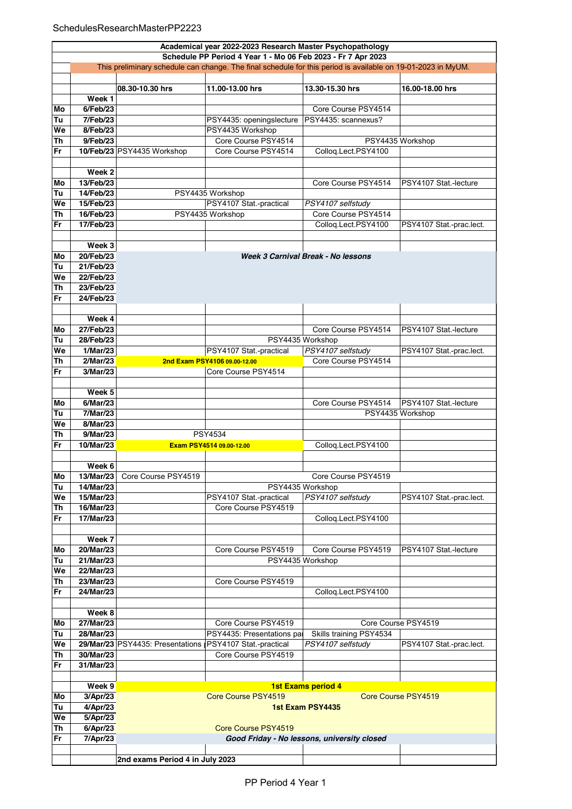|    | Academical year 2022-2023 Research Master Psychopathology                                                    |                                  |                              |                                             |                          |  |  |  |
|----|--------------------------------------------------------------------------------------------------------------|----------------------------------|------------------------------|---------------------------------------------|--------------------------|--|--|--|
|    | Schedule PP Period 4 Year 1 - Mo 06 Feb 2023 - Fr 7 Apr 2023                                                 |                                  |                              |                                             |                          |  |  |  |
|    | This preliminary schedule can change. The final schedule for this period is available on 19-01-2023 in MyUM. |                                  |                              |                                             |                          |  |  |  |
|    |                                                                                                              |                                  |                              |                                             |                          |  |  |  |
|    |                                                                                                              | 08.30-10.30 hrs                  | 11.00-13.00 hrs              | 13.30-15.30 hrs                             | 16.00-18.00 hrs          |  |  |  |
|    | Week 1                                                                                                       |                                  |                              |                                             |                          |  |  |  |
| Mo | 6/Feb/23                                                                                                     |                                  |                              | Core Course PSY4514                         |                          |  |  |  |
| Tu | 7/Feb/23                                                                                                     |                                  | PSY4435: openingslecture     | PSY4435: scannexus?                         |                          |  |  |  |
| We | 8/Feb/23                                                                                                     |                                  | PSY4435 Workshop             |                                             |                          |  |  |  |
| Th | 9/Feb/23                                                                                                     |                                  | Core Course PSY4514          |                                             | PSY4435 Workshop         |  |  |  |
| Fr |                                                                                                              | 10/Feb/23 PSY4435 Workshop       | Core Course PSY4514          | Colloq.Lect.PSY4100                         |                          |  |  |  |
|    |                                                                                                              |                                  |                              |                                             |                          |  |  |  |
|    | Week 2                                                                                                       |                                  |                              |                                             |                          |  |  |  |
| Mo | 13/Feb/23                                                                                                    |                                  |                              | Core Course PSY4514                         | PSY4107 Stat -lecture    |  |  |  |
| Tu | 14/Feb/23                                                                                                    |                                  | PSY4435 Workshop             |                                             |                          |  |  |  |
| We | 15/Feb/23                                                                                                    |                                  | PSY4107 Stat.-practical      | PSY4107 selfstudy                           |                          |  |  |  |
| Th | 16/Feb/23                                                                                                    |                                  | PSY4435 Workshop             | Core Course PSY4514                         |                          |  |  |  |
| Fr | 17/Feb/23                                                                                                    |                                  |                              | Colloq.Lect.PSY4100                         | PSY4107 Stat -prac.lect. |  |  |  |
|    |                                                                                                              |                                  |                              |                                             |                          |  |  |  |
|    | Week 3                                                                                                       |                                  |                              |                                             |                          |  |  |  |
| Mo | 20/Feb/23                                                                                                    |                                  |                              | Week 3 Carnival Break - No lessons          |                          |  |  |  |
| Tu | 21/Feb/23                                                                                                    |                                  |                              |                                             |                          |  |  |  |
| We | 22/Feb/23                                                                                                    |                                  |                              |                                             |                          |  |  |  |
| Th | 23/Feb/23                                                                                                    |                                  |                              |                                             |                          |  |  |  |
| Fr | 24/Feb/23                                                                                                    |                                  |                              |                                             |                          |  |  |  |
|    |                                                                                                              |                                  |                              |                                             |                          |  |  |  |
|    | Week 4                                                                                                       |                                  |                              |                                             |                          |  |  |  |
| Mo | 27/Feb/23                                                                                                    |                                  |                              | Core Course PSY4514                         | PSY4107 Stat -lecture    |  |  |  |
| Tu | 28/Feb/23                                                                                                    |                                  |                              | PSY4435 Workshop                            |                          |  |  |  |
| We | 1/Mar/23                                                                                                     |                                  | PSY4107 Stat.-practical      | PSY4107 selfstudy                           | PSY4107 Stat -prac.lect. |  |  |  |
| Th | 2/Mar/23                                                                                                     |                                  | 2nd Exam PSY4106 09.00-12.00 | Core Course PSY4514                         |                          |  |  |  |
| Fr | 3/Mar/23                                                                                                     |                                  | Core Course PSY4514          |                                             |                          |  |  |  |
|    |                                                                                                              |                                  |                              |                                             |                          |  |  |  |
|    | Week 5                                                                                                       |                                  |                              |                                             |                          |  |  |  |
| Mo | 6/Mar/23                                                                                                     |                                  |                              | Core Course PSY4514                         | PSY4107 Stat -lecture    |  |  |  |
| Tu | 7/Mar/23                                                                                                     |                                  |                              |                                             | PSY4435 Workshop         |  |  |  |
| We | 8/Mar/23                                                                                                     |                                  |                              |                                             |                          |  |  |  |
| Th | 9/Mar/23                                                                                                     |                                  | PSY4534                      |                                             |                          |  |  |  |
| Fr | 10/Mar/23                                                                                                    |                                  | Exam PSY4514 09.00-12.00     | Colloq.Lect.PSY4100                         |                          |  |  |  |
|    |                                                                                                              |                                  |                              |                                             |                          |  |  |  |
|    | Week 6                                                                                                       |                                  |                              |                                             |                          |  |  |  |
| Mo | 13/Mar/23                                                                                                    | Core Course PSY4519              |                              | Core Course PSY4519                         |                          |  |  |  |
| Tu | 14/Mar/23                                                                                                    |                                  |                              | PSY4435 Workshop                            |                          |  |  |  |
| We | 15/Mar/23                                                                                                    |                                  | PSY4107 Stat.-practical      | PSY4107 selfstudy                           | PSY4107 Stat.-prac.lect. |  |  |  |
| Th | 16/Mar/23<br>17/Mar/23                                                                                       |                                  | Core Course PSY4519          |                                             |                          |  |  |  |
| Fr |                                                                                                              |                                  |                              | Colloq.Lect.PSY4100                         |                          |  |  |  |
|    | Week 7                                                                                                       |                                  |                              |                                             |                          |  |  |  |
| Mo | 20/Mar/23                                                                                                    |                                  | Core Course PSY4519          | Core Course PSY4519                         | PSY4107 Stat.-lecture    |  |  |  |
| Tu | 21/Mar/23                                                                                                    |                                  |                              | PSY4435 Workshop                            |                          |  |  |  |
| We | 22/Mar/23                                                                                                    |                                  |                              |                                             |                          |  |  |  |
| Th | 23/Mar/23                                                                                                    |                                  | Core Course PSY4519          |                                             |                          |  |  |  |
| Fr | 24/Mar/23                                                                                                    |                                  |                              | Collog.Lect.PSY4100                         |                          |  |  |  |
|    |                                                                                                              |                                  |                              |                                             |                          |  |  |  |
|    | Week 8                                                                                                       |                                  |                              |                                             |                          |  |  |  |
| Mo | 27/Mar/23                                                                                                    |                                  | Core Course PSY4519          |                                             | Core Course PSY4519      |  |  |  |
| Tu | 28/Mar/23                                                                                                    |                                  | PSY4435: Presentations par   | Skills training PSY4534                     |                          |  |  |  |
| We |                                                                                                              | 29/Mar/23 PSY4435: Presentations | PSY4107 Stat.-practical      | PSY4107 selfstudy                           | PSY4107 Stat.-prac.lect. |  |  |  |
| Th | 30/Mar/23                                                                                                    |                                  | Core Course PSY4519          |                                             |                          |  |  |  |
| Fr | 31/Mar/23                                                                                                    |                                  |                              |                                             |                          |  |  |  |
|    |                                                                                                              |                                  |                              |                                             |                          |  |  |  |
|    | Week 9                                                                                                       |                                  |                              | <b>1st Exams period 4</b>                   |                          |  |  |  |
| Mo | 3/Apr/23                                                                                                     |                                  | Core Course PSY4519          |                                             | Core Course PSY4519      |  |  |  |
| Tu | 4/Apr/23                                                                                                     |                                  |                              | 1st Exam PSY4435                            |                          |  |  |  |
| We | 5/Apr/23                                                                                                     |                                  |                              |                                             |                          |  |  |  |
| Th | 6/Apr/23                                                                                                     |                                  | Core Course PSY4519          |                                             |                          |  |  |  |
| Fr | 7/Apr/23                                                                                                     |                                  |                              | Good Friday - No lessons, university closed |                          |  |  |  |
|    |                                                                                                              |                                  |                              |                                             |                          |  |  |  |
|    |                                                                                                              | 2nd exams Period 4 in July 2023  |                              |                                             |                          |  |  |  |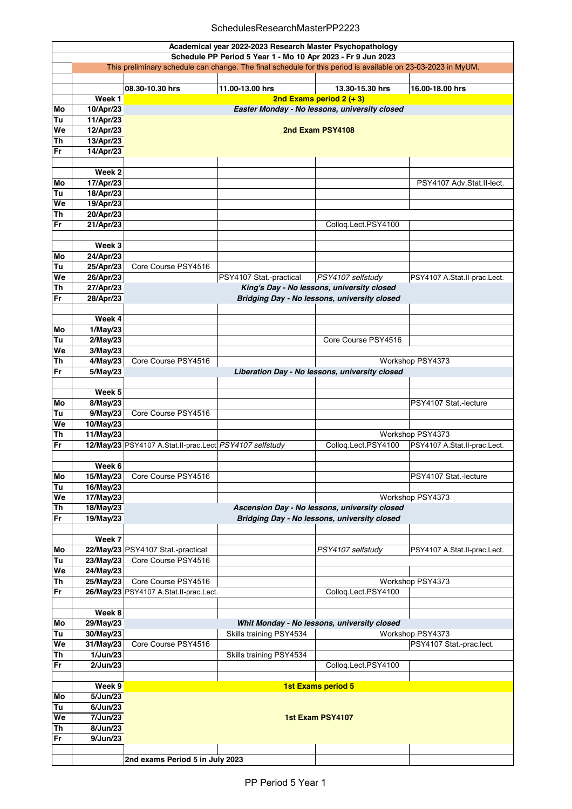## SchedulesResearchMasterPP2223

|                 | Academical year 2022-2023 Research Master Psychopathology                                                                                                                    |                                                                    |                         |                                               |                              |  |  |
|-----------------|------------------------------------------------------------------------------------------------------------------------------------------------------------------------------|--------------------------------------------------------------------|-------------------------|-----------------------------------------------|------------------------------|--|--|
|                 | Schedule PP Period 5 Year 1 - Mo 10 Apr 2023 - Fr 9 Jun 2023<br>This preliminary schedule can change. The final schedule for this period is available on 23-03-2023 in MyUM. |                                                                    |                         |                                               |                              |  |  |
|                 |                                                                                                                                                                              |                                                                    |                         |                                               |                              |  |  |
|                 |                                                                                                                                                                              | 08.30-10.30 hrs                                                    | 11.00-13.00 hrs         | 13.30-15.30 hrs                               | 16.00-18.00 hrs              |  |  |
|                 | Week 1                                                                                                                                                                       |                                                                    |                         | 2nd Exams period $2 (+ 3)$                    |                              |  |  |
| Mo              | 10/Apr/23                                                                                                                                                                    |                                                                    |                         | Easter Monday - No lessons, university closed |                              |  |  |
| Tu              | 11/Apr/23                                                                                                                                                                    |                                                                    |                         |                                               |                              |  |  |
| We              | 12/Apr/23                                                                                                                                                                    |                                                                    | 2nd Exam PSY4108        |                                               |                              |  |  |
| Th              | 13/Apr/23                                                                                                                                                                    |                                                                    |                         |                                               |                              |  |  |
| Fr              | 14/Apr/23                                                                                                                                                                    |                                                                    |                         |                                               |                              |  |  |
|                 |                                                                                                                                                                              |                                                                    |                         |                                               |                              |  |  |
|                 | Week <sub>2</sub>                                                                                                                                                            |                                                                    |                         |                                               |                              |  |  |
| Mo              | 17/Apr/23                                                                                                                                                                    |                                                                    |                         |                                               | PSY4107 Adv.Stat.II-lect.    |  |  |
| Tu<br>We        | 18/Apr/23                                                                                                                                                                    |                                                                    |                         |                                               |                              |  |  |
| Th              | 19/Apr/23<br>20/Apr/23                                                                                                                                                       |                                                                    |                         |                                               |                              |  |  |
| Fr              | 21/Apr/23                                                                                                                                                                    |                                                                    |                         | Colloq.Lect.PSY4100                           |                              |  |  |
|                 |                                                                                                                                                                              |                                                                    |                         |                                               |                              |  |  |
|                 | Week <sub>3</sub>                                                                                                                                                            |                                                                    |                         |                                               |                              |  |  |
| Mo              | 24/Apr/23                                                                                                                                                                    |                                                                    |                         |                                               |                              |  |  |
| Tu              | 25/Apr/23                                                                                                                                                                    | Core Course PSY4516                                                |                         |                                               |                              |  |  |
| We              | 26/Apr/23                                                                                                                                                                    |                                                                    | PSY4107 Stat.-practical | PSY4107 selfstudy                             | PSY4107 A.Stat.II-prac.Lect. |  |  |
| Th              | 27/Apr/23                                                                                                                                                                    |                                                                    |                         | King's Day - No lessons, university closed    |                              |  |  |
| Fr              | 28/Apr/23                                                                                                                                                                    |                                                                    |                         | Bridging Day - No lessons, university closed  |                              |  |  |
|                 |                                                                                                                                                                              |                                                                    |                         |                                               |                              |  |  |
|                 | Week 4                                                                                                                                                                       |                                                                    |                         |                                               |                              |  |  |
| Mo<br>Tu        | 1/May/23                                                                                                                                                                     |                                                                    |                         | Core Course PSY4516                           |                              |  |  |
| We              | 2/May/23<br>3/May/23                                                                                                                                                         |                                                                    |                         |                                               |                              |  |  |
| Th              | $4$ /May/23                                                                                                                                                                  | Core Course PSY4516                                                |                         |                                               |                              |  |  |
| Fr              | 5/May/23                                                                                                                                                                     | Workshop PSY4373<br>Liberation Day - No lessons, university closed |                         |                                               |                              |  |  |
|                 |                                                                                                                                                                              |                                                                    |                         |                                               |                              |  |  |
|                 | Week 5                                                                                                                                                                       |                                                                    |                         |                                               |                              |  |  |
| Mo              | 8/May/23                                                                                                                                                                     |                                                                    |                         |                                               | PSY4107 Stat.-lecture        |  |  |
| Tu              | 9/May/23                                                                                                                                                                     | Core Course PSY4516                                                |                         |                                               |                              |  |  |
| We              | 10/May/23                                                                                                                                                                    |                                                                    |                         |                                               |                              |  |  |
| Th              | 11/May/23                                                                                                                                                                    |                                                                    |                         |                                               | Workshop PSY4373             |  |  |
| Fr              |                                                                                                                                                                              | 12/May/23 PSY4107 A.Stat.II-prac.Lect PSY4107 selfstudy            |                         | Collog.Lect.PSY4100                           | PSY4107 A.Stat.II-prac.Lect. |  |  |
|                 | Week 6                                                                                                                                                                       |                                                                    |                         |                                               |                              |  |  |
| Mo              | 15/May/23                                                                                                                                                                    | Core Course PSY4516                                                |                         |                                               | PSY4107 Stat.-lecture        |  |  |
| Tu              | 16/May/23                                                                                                                                                                    |                                                                    |                         |                                               |                              |  |  |
| We              | 17/May/23                                                                                                                                                                    |                                                                    |                         |                                               | Workshop PSY4373             |  |  |
| <b>Th</b>       | 18/May/23                                                                                                                                                                    |                                                                    |                         | Ascension Day - No lessons, university closed |                              |  |  |
| Fr              | 19/May/23                                                                                                                                                                    |                                                                    |                         | Bridging Day - No lessons, university closed  |                              |  |  |
|                 |                                                                                                                                                                              |                                                                    |                         |                                               |                              |  |  |
|                 | Week 7                                                                                                                                                                       |                                                                    |                         |                                               |                              |  |  |
| Mo              |                                                                                                                                                                              | 22/May/23 PSY4107 Stat.-practical                                  |                         | PSY4107 selfstudy                             | PSY4107 A.Stat.II-prac.Lect. |  |  |
| Tu              | 23/May/23                                                                                                                                                                    | Core Course PSY4516                                                |                         |                                               |                              |  |  |
| We<br><b>Th</b> | 24/May/23<br>25/May/23                                                                                                                                                       | Core Course PSY4516                                                |                         |                                               | Workshop PSY4373             |  |  |
| Fr              |                                                                                                                                                                              | 26/May/23 PSY4107 A.Stat.II-prac.Lect.                             |                         | Colloq.Lect.PSY4100                           |                              |  |  |
|                 |                                                                                                                                                                              |                                                                    |                         |                                               |                              |  |  |
|                 | Week 8                                                                                                                                                                       |                                                                    |                         |                                               |                              |  |  |
| Mo              | 29/May/23                                                                                                                                                                    |                                                                    |                         | Whit Monday - No lessons, university closed   |                              |  |  |
| Tu              | 30/May/23                                                                                                                                                                    |                                                                    | Skills training PSY4534 |                                               | Workshop PSY4373             |  |  |
| We              | 31/May/23                                                                                                                                                                    | Core Course PSY4516                                                |                         |                                               | PSY4107 Stat.-prac.lect.     |  |  |
| Th              | 1/Jun/23                                                                                                                                                                     |                                                                    | Skills training PSY4534 |                                               |                              |  |  |
| Fr              | 2/Jun/23                                                                                                                                                                     |                                                                    |                         | Colloq.Lect.PSY4100                           |                              |  |  |
|                 | Week 9                                                                                                                                                                       |                                                                    |                         |                                               |                              |  |  |
| Mo              | 5/Jun/23                                                                                                                                                                     |                                                                    |                         | <b>1st Exams period 5</b>                     |                              |  |  |
| Tu              | 6/Jun/23                                                                                                                                                                     |                                                                    |                         |                                               |                              |  |  |
| We              | 7/Jun/23                                                                                                                                                                     |                                                                    |                         | 1st Exam PSY4107                              |                              |  |  |
| Th              | 8/Jun/23                                                                                                                                                                     |                                                                    |                         |                                               |                              |  |  |
| Fr              | 9/Jun/23                                                                                                                                                                     |                                                                    |                         |                                               |                              |  |  |
|                 |                                                                                                                                                                              |                                                                    |                         |                                               |                              |  |  |
|                 |                                                                                                                                                                              | 2nd exams Period 5 in July 2023                                    |                         |                                               |                              |  |  |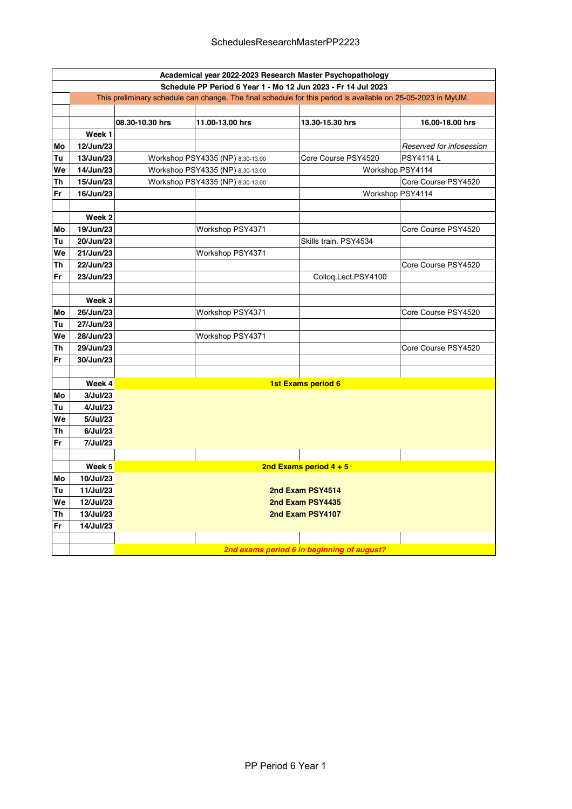|    | Academical year 2022-2023 Research Master Psychopathology                                                    |                  |                                  |                          |                          |  |  |  |
|----|--------------------------------------------------------------------------------------------------------------|------------------|----------------------------------|--------------------------|--------------------------|--|--|--|
|    | Schedule PP Period 6 Year 1 - Mo 12 Jun 2023 - Fr 14 Jul 2023                                                |                  |                                  |                          |                          |  |  |  |
|    | This preliminary schedule can change. The final schedule for this period is available on 25-05-2023 in MyUM. |                  |                                  |                          |                          |  |  |  |
|    |                                                                                                              |                  |                                  |                          |                          |  |  |  |
|    |                                                                                                              | 08.30-10.30 hrs  | 11.00-13.00 hrs                  | 13.30-15.30 hrs          | 16.00-18.00 hrs          |  |  |  |
|    | Week 1                                                                                                       |                  |                                  |                          |                          |  |  |  |
| Mo | 12/Jun/23                                                                                                    |                  |                                  |                          | Reserved for infosession |  |  |  |
| Tu | 13/Jun/23                                                                                                    |                  | Workshop PSY4335 (NP) 8.30-13.00 | Core Course PSY4520      | <b>PSY4114L</b>          |  |  |  |
| We | 14/Jun/23                                                                                                    |                  | Workshop PSY4335 (NP) 8.30-13.00 |                          | Workshop PSY4114         |  |  |  |
| Th | 15/Jun/23                                                                                                    |                  | Workshop PSY4335 (NP) 8.30-13.00 |                          | Core Course PSY4520      |  |  |  |
| Fr | 16/Jun/23                                                                                                    |                  |                                  |                          | Workshop PSY4114         |  |  |  |
|    |                                                                                                              |                  |                                  |                          |                          |  |  |  |
|    | Week 2                                                                                                       |                  |                                  |                          |                          |  |  |  |
| Mo | 19/Jun/23                                                                                                    |                  | Workshop PSY4371                 |                          | Core Course PSY4520      |  |  |  |
| Tu | 20/Jun/23                                                                                                    |                  |                                  | Skills train. PSY4534    |                          |  |  |  |
| We | 21/Jun/23                                                                                                    |                  | Workshop PSY4371                 |                          |                          |  |  |  |
| Th | 22/Jun/23                                                                                                    |                  |                                  |                          | Core Course PSY4520      |  |  |  |
| Fr | 23/Jun/23                                                                                                    |                  |                                  | Collog.Lect.PSY4100      |                          |  |  |  |
|    |                                                                                                              |                  |                                  |                          |                          |  |  |  |
|    | Week 3                                                                                                       |                  |                                  |                          |                          |  |  |  |
| Mo | 26/Jun/23                                                                                                    |                  | Workshop PSY4371                 |                          | Core Course PSY4520      |  |  |  |
| Tu | 27/Jun/23                                                                                                    |                  |                                  |                          |                          |  |  |  |
| We | 28/Jun/23                                                                                                    |                  | Workshop PSY4371                 |                          |                          |  |  |  |
| Th | 29/Jun/23                                                                                                    |                  |                                  |                          | Core Course PSY4520      |  |  |  |
| Fr | 30/Jun/23                                                                                                    |                  |                                  |                          |                          |  |  |  |
|    |                                                                                                              |                  |                                  |                          |                          |  |  |  |
|    | Week 4                                                                                                       |                  |                                  | 1st Exams period 6       |                          |  |  |  |
| Mo | 3/Jul/23                                                                                                     |                  |                                  |                          |                          |  |  |  |
| Tu | 4/Jul/23                                                                                                     |                  |                                  |                          |                          |  |  |  |
| We | 5/Jul/23                                                                                                     |                  |                                  |                          |                          |  |  |  |
| Th | 6/Jul/23                                                                                                     |                  |                                  |                          |                          |  |  |  |
| Fr | 7/Jul/23                                                                                                     |                  |                                  |                          |                          |  |  |  |
|    |                                                                                                              |                  |                                  |                          |                          |  |  |  |
|    | Week 5                                                                                                       |                  |                                  | 2nd Exams period $4 + 5$ |                          |  |  |  |
| Mo | 10/Jul/23                                                                                                    |                  |                                  |                          |                          |  |  |  |
| Tu | 11/Jul/23                                                                                                    |                  |                                  | 2nd Exam PSY4514         |                          |  |  |  |
| We | 12/Jul/23                                                                                                    | 2nd Exam PSY4435 |                                  |                          |                          |  |  |  |
| Th | 13/Jul/23                                                                                                    | 2nd Exam PSY4107 |                                  |                          |                          |  |  |  |
| Fr | 14/Jul/23                                                                                                    |                  |                                  |                          |                          |  |  |  |
|    |                                                                                                              |                  |                                  |                          |                          |  |  |  |
|    | 2nd exams period 6 in beginning of august?                                                                   |                  |                                  |                          |                          |  |  |  |